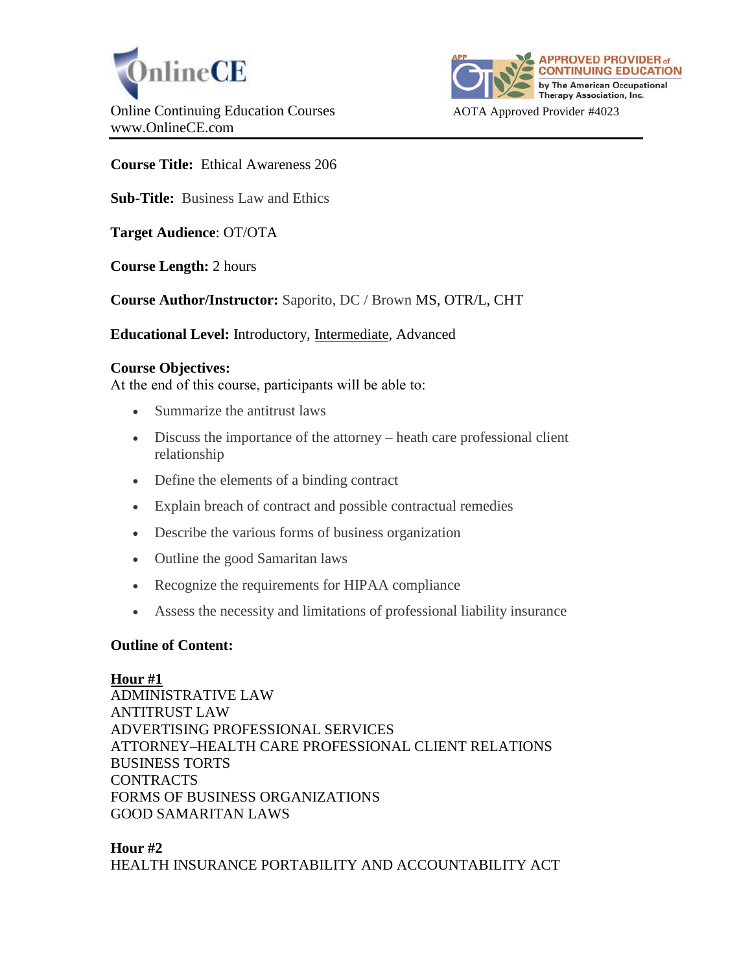



**Course Title:** Ethical Awareness 206

**Sub-Title:** Business Law and Ethics

**Target Audience**: OT/OTA

**Course Length:** 2 hours

**Course Author/Instructor:** Saporito, DC / Brown MS, OTR/L, CHT

**Educational Level:** Introductory, Intermediate, Advanced

### **Course Objectives:**

At the end of this course, participants will be able to:

- Summarize the antitrust laws
- Discuss the importance of the attorney heath care professional client relationship
- Define the elements of a binding contract
- Explain breach of contract and possible contractual remedies
- Describe the various forms of business organization
- Outline the good Samaritan laws
- Recognize the requirements for HIPAA compliance
- Assess the necessity and limitations of professional liability insurance

## **Outline of Content:**

#### **Hour #1**

ADMINISTRATIVE LAW ANTITRUST LAW ADVERTISING PROFESSIONAL SERVICES ATTORNEY–HEALTH CARE PROFESSIONAL CLIENT RELATIONS BUSINESS TORTS CONTRACTS FORMS OF BUSINESS ORGANIZATIONS GOOD SAMARITAN LAWS

### **Hour #2** HEALTH INSURANCE PORTABILITY AND ACCOUNTABILITY ACT